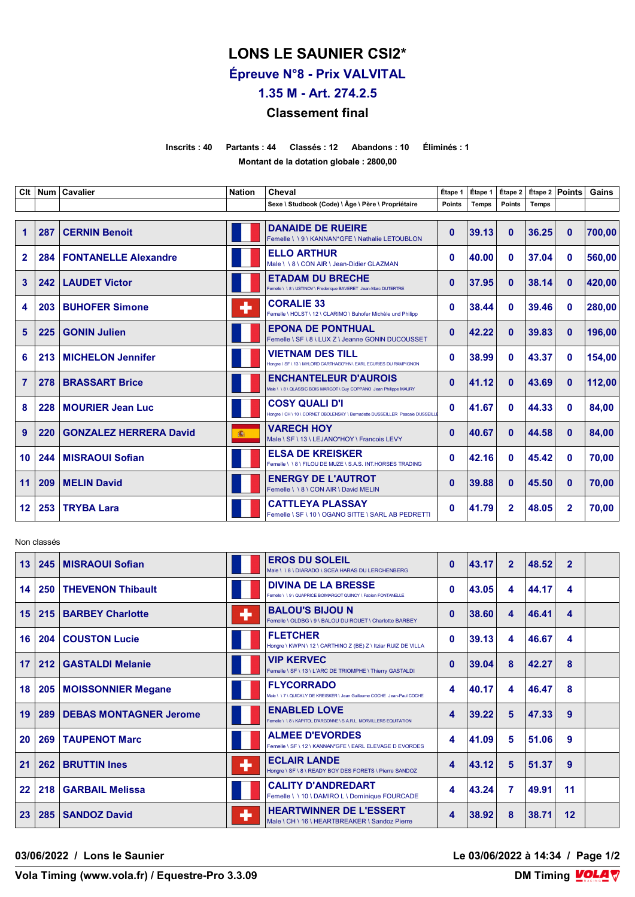# **LONS LE SAUNIER CSI2\***

**Épreuve N°8 - Prix VALVITAL**

**1.35 M - Art. 274.2.5**

# **Classement final**

#### **Inscrits : 40 Partants : 44 Classés : 12 Abandons : 10 Éliminés : 1 Montant de la dotation globale : 2800,00**

| Clt            |     | Num   Cavalier                | <b>Nation</b> | Cheval                                                                                                | Étape 1       | Étape 1      | Étape 2      | Étape 2 Points |              | Gains  |
|----------------|-----|-------------------------------|---------------|-------------------------------------------------------------------------------------------------------|---------------|--------------|--------------|----------------|--------------|--------|
|                |     |                               |               | Sexe \ Studbook (Code) \ Âge \ Père \ Propriétaire                                                    | <b>Points</b> | <b>Temps</b> | Points       | <b>Temps</b>   |              |        |
| $\mathbf{1}$   | 287 | <b>CERNIN Benoit</b>          |               | <b>DANAIDE DE RUEIRE</b><br>Femelle \\9\KANNAN*GFE\Nathalie LETOUBLON                                 | $\mathbf{0}$  | 39.13        | $\mathbf{0}$ | 36.25          | $\mathbf{0}$ | 700,00 |
| $\overline{2}$ | 284 | <b>FONTANELLE Alexandre</b>   |               | <b>ELLO ARTHUR</b><br>Male \ \ 8 \ CON AIR \ Jean-Didier GLAZMAN                                      | 0             | 40.00        | $\bf{0}$     | 37.04          | 0            | 560,00 |
| 3              | 242 | <b>LAUDET Victor</b>          |               | <b>ETADAM DU BRECHE</b><br>Femelle \ \ 8 \ USTINOV \ Frederique BAVERET Jean-Marc DUTERTRE            | 0             | 37.95        | 0            | 38.14          | $\mathbf{0}$ | 420,00 |
| 4              | 203 | <b>BUHOFER Simone</b>         | ٠             | <b>CORALIE 33</b><br>Femelle \ HOLST \ 12 \ CLARIMO \ Buhofer Michèle und Philipp                     | 0             | 38.44        | $\mathbf{0}$ | 39.46          | 0            | 280,00 |
| 5              | 225 | <b>GONIN Julien</b>           |               | <b>EPONA DE PONTHUAL</b><br>Femelle \ SF \ 8 \ LUX Z \ Jeanne GONIN DUCOUSSET                         | 0             | 42.22        | $\mathbf{0}$ | 39.83          | $\mathbf{0}$ | 196,00 |
| 6              | 213 | <b>MICHELON Jennifer</b>      |               | <b>VIETNAM DES TILL</b><br>Hongre \ SF \ 13 \ MYLORD CARTHAGO*HN \ EARL ECURIES DU RAMPIGNON          | 0             | 38.99        | 0            | 43.37          | 0            | 154,00 |
| $\overline{7}$ | 278 | <b>BRASSART Brice</b>         |               | <b>ENCHANTELEUR D'AUROIS</b><br>Male \ \ 8 \ QLASSIC BOIS MARGOT \ Guy COPPANO Jean Philippe MAURY    | $\bf{0}$      | 41.12        | $\mathbf{0}$ | 43.69          | $\mathbf{0}$ | 112,00 |
| 8              | 228 | <b>MOURIER Jean Luc</b>       |               | <b>COSY QUALI D'I</b><br>Hongre \ CH \ 10 \ CORNET OBOLENSKY \ Bernadette DUSSEILLER Pascale DUSSEILL | 0             | 41.67        | $\mathbf{0}$ | 44.33          | 0            | 84,00  |
| 9              | 220 | <b>GONZALEZ HERRERA David</b> | 瓣             | <b>VARECH HOY</b><br>Male \ SF \ 13 \ LEJANO*HOY \ Francois LEVY                                      | 0             | 40.67        | $\mathbf{0}$ | 44.58          | $\mathbf{0}$ | 84,00  |
| 10             | 244 | <b>MISRAOUI Sofian</b>        |               | <b>ELSA DE KREISKER</b><br>Femelle \ \ 8 \ FILOU DE MUZE \ S.A.S. INT.HORSES TRADING                  | 0             | 42.16        | $\mathbf{0}$ | 45.42          | 0            | 70,00  |
| 11             | 209 | <b>MELIN David</b>            |               | <b>ENERGY DE L'AUTROT</b><br>Femelle \ \ 8 \ CON AIR \ David MELIN                                    | $\bf{0}$      | 39.88        | $\mathbf{0}$ | 45.50          | $\bf{0}$     | 70,00  |
| 12             | 253 | <b>TRYBA Lara</b>             |               | <b>CATTLEYA PLASSAY</b><br>Femelle \ SF \ 10 \ OGANO SITTE \ SARL AB PEDRETTI                         | 0             | 41.79        | $\mathbf{2}$ | 48.05          | $\mathbf{2}$ | 70.00  |

### Non classés

| 13 <sup>°</sup> | 245   | <b>MISRAOUI Sofian</b>        |    | <b>EROS DU SOLEIL</b><br>Male \\8\DIARADO\SCEA HARAS DU LERCHENBERG                          | 0 | 43.17 | $\overline{2}$ | 48.52 | $\mathbf{2}$ |  |
|-----------------|-------|-------------------------------|----|----------------------------------------------------------------------------------------------|---|-------|----------------|-------|--------------|--|
| 14              | 250   | <b>THEVENON Thibault</b>      |    | <b>DIVINA DE LA BRESSE</b><br>Femelle \\\9\QUAPRICE BOIMARGOT QUINCY \ Fabien FONTANELLE     | 0 | 43.05 | 4              | 44.17 | 4            |  |
| 15              | 215   | <b>BARBEY Charlotte</b>       | ٠  | <b>BALOU'S BIJOU N</b><br>Femelle \ OLDBG \ 9 \ BALOU DU ROUET \ Charlotte BARBEY            | 0 | 38.60 | 4              | 46.41 | 4            |  |
| 16              | 204   | <b>COUSTON Lucie</b>          |    | <b>FLETCHER</b><br>Hongre \ KWPN \ 12 \ CARTHINO Z (BE) Z \ Itziar RUIZ DE VILLA             | 0 | 39.13 | 4              | 46.67 | 4            |  |
| 17              | $212$ | <b>GASTALDI Melanie</b>       |    | <b>VIP KERVEC</b><br>Femelle \ SF \ 13 \ L'ARC DE TRIOMPHE \ Thierry GASTALDI                | 0 | 39.04 | 8              | 42.27 | 8            |  |
| 18              | 205   | <b>MOISSONNIER Megane</b>     |    | <b>FLYCORRADO</b><br>Vale \ \ 7 \ QUICKLY DE KREISKER \ Jean Guillaume COCHE Jean-Paul COCHE | 4 | 40.17 | 4              | 46.47 | 8            |  |
| 19              | 289   | <b>DEBAS MONTAGNER Jerome</b> |    | <b>ENABLED LOVE</b><br>Femelle \ \ 8 \ KAPITOL D'ARGONNE \ S.A.R.L. MORVILLERS EQUITATION    | 4 | 39.22 | 5              | 47.33 | 9            |  |
| 20              | 269   | <b>TAUPENOT Marc</b>          |    | <b>ALMEE D'EVORDES</b><br>Femelle \ SF \ 12 \ KANNAN*GFE \ EARL ELEVAGE D EVORDES            | 4 | 41.09 | 5              | 51.06 | 9            |  |
| 21              | 262   | <b>BRUTTIN Ines</b>           | ٠  | <b>ECLAIR LANDE</b><br>Hongre \ SF \ 8 \ READY BOY DES FORETS \ Pierre SANDOZ                | 4 | 43.12 | 5              | 51.37 | 9            |  |
| 22              | 218   | <b>GARBAIL Melissa</b>        |    | <b>CALITY D'ANDREDART</b><br>Femelle \\10\DAMIROL\Dominique FOURCADE                         | 4 | 43.24 | 7              | 49.91 | 11           |  |
| 23              | 285   | <b>SANDOZ David</b>           | 45 | <b>HEARTWINNER DE L'ESSERT</b><br>Male \ CH \ 16 \ HEARTBREAKER \ Sandoz Pierre              | 4 | 38.92 | 8              | 38.71 | 12           |  |

**03/06/2022 / Lons le Saunier Le 03/06/2022 à 14:34 / Page 1/2**

**Vola Timing (www.vola.fr) / Equestre-Pro 3.3.09**